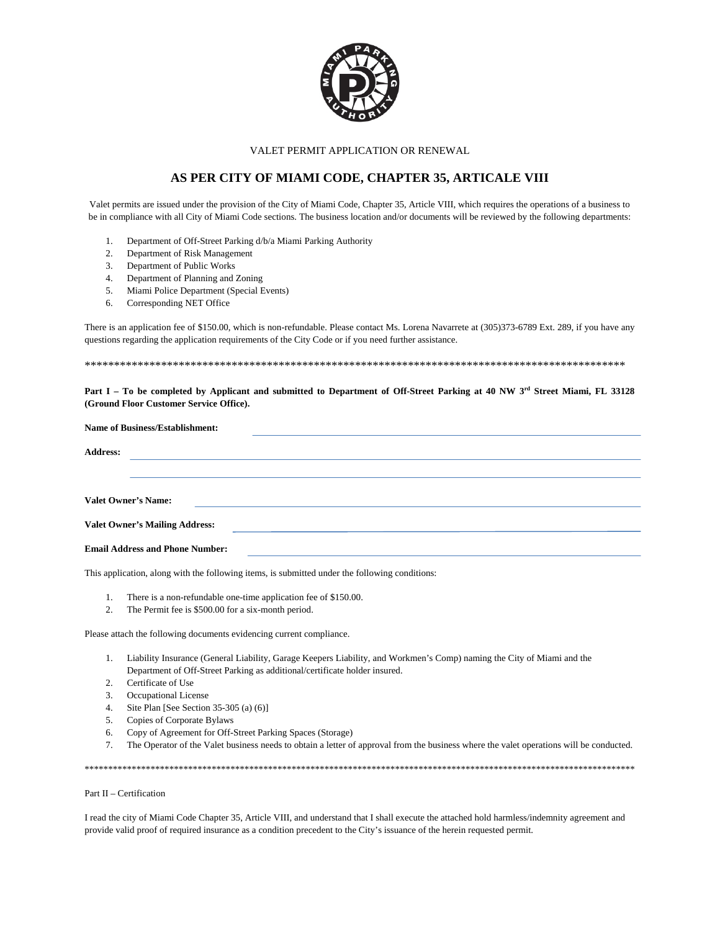

VALET PERMIT APPLICATION OR RENEWAL

## AS PER CITY OF MIAMI CODE, CHAPTER 35, ARTICALE VIII

Valet permits are issued under the provision of the City of Miami Code, Chapter 35, Article VIII, which requires the operations of a business to be in compliance with all City of Miami Code sections. The business location and/or documents will be reviewed by the following departments:

- 1. Department of Off-Street Parking d/b/a Miami Parking Authority
- 2. Department of Risk Management
- Department of Public Works  $3.$
- 4. Department of Planning and Zoning
- Miami Police Department (Special Events)  $5<sub>1</sub>$
- 6. Corresponding NET Office

There is an application fee of \$150.00, which is non-refundable. Please contact Ms. Lorena Navarrete at (305)373-6789 Ext. 289, if you have any questions regarding the application requirements of the City Code or if you need further assistance.

Part I - To be completed by Applicant and submitted to Department of Off-Street Parking at 40 NW 3rd Street Miami, FL 33128 (Ground Floor Customer Service Office).

|                 | <b>Name of Business/Establishment:</b> |  |                                                                                                                 |  |
|-----------------|----------------------------------------|--|-----------------------------------------------------------------------------------------------------------------|--|
| <b>Address:</b> |                                        |  |                                                                                                                 |  |
|                 |                                        |  |                                                                                                                 |  |
|                 | <b>Valet Owner's Name:</b>             |  |                                                                                                                 |  |
|                 |                                        |  | the contract of the contract of the contract of the contract of the contract of the contract of the contract of |  |
|                 | <b>Valet Owner's Mailing Address:</b>  |  | and the state of the state of the state of the state of the state of the state of the state of the state of the |  |
|                 | <b>Email Address and Phone Number:</b> |  |                                                                                                                 |  |

This application, along with the following items, is submitted under the following conditions:

- There is a non-refundable one-time application fee of \$150.00.  $1.$
- 2. The Permit fee is \$500.00 for a six-month period.

Please attach the following documents evidencing current compliance.

- 1. Liability Insurance (General Liability, Garage Keepers Liability, and Workmen's Comp) naming the City of Miami and the Department of Off-Street Parking as additional/certificate holder insured.
- Certificate of Use  $\mathcal{P}$
- $3<sub>1</sub>$ **Occupational License**
- 4. Site Plan [See Section 35-305 (a) (6)]
- 5. Copies of Corporate Bylaws
- 6. Copy of Agreement for Off-Street Parking Spaces (Storage)
- The Operator of the Valet business needs to obtain a letter of approval from the business where the valet operations will be conducted. 7.

## Part II - Certification

I read the city of Miami Code Chapter 35, Article VIII, and understand that I shall execute the attached hold harmless/indemnity agreement and provide valid proof of required insurance as a condition precedent to the City's issuance of the herein requested permit.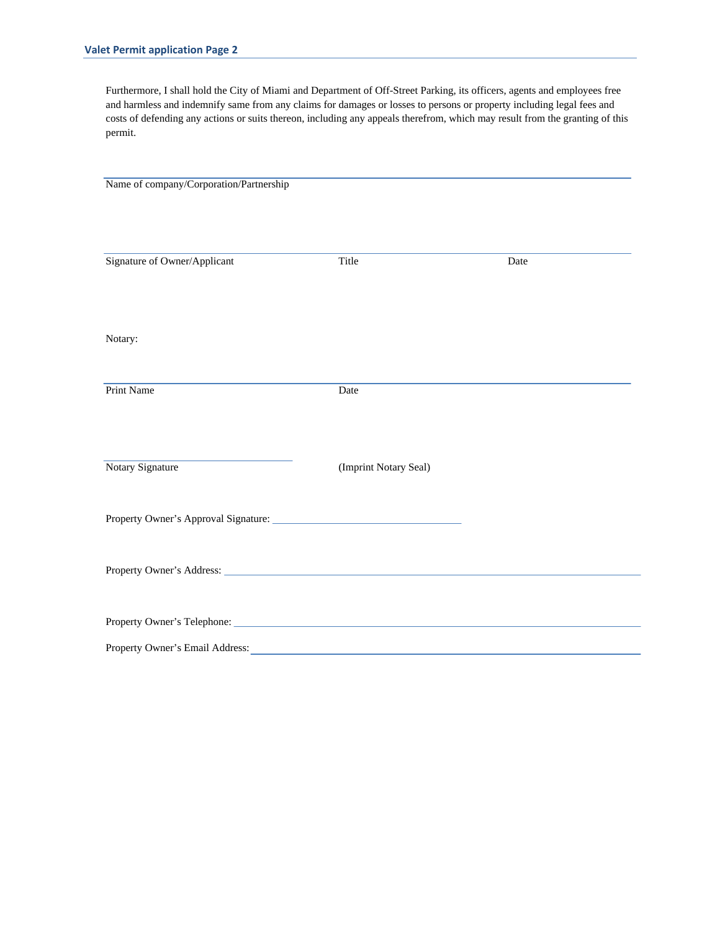Furthermore, I shall hold the City of Miami and Department of Off-Street Parking, its officers, agents and employees free and harmless and indemnify same from any claims for damages or losses to persons or property including legal fees and costs of defending any actions or suits thereon, including any appeals therefrom, which may result from the granting of this permit.

Name of company/Corporation/Partnership Signature of Owner/Applicant Title Date Notary: Print Name Date Notary Signature (Imprint Notary Seal) Property Owner's Approval Signature: Property Owner's Address: Property Owner's Telephone: Property Owner's Email Address: